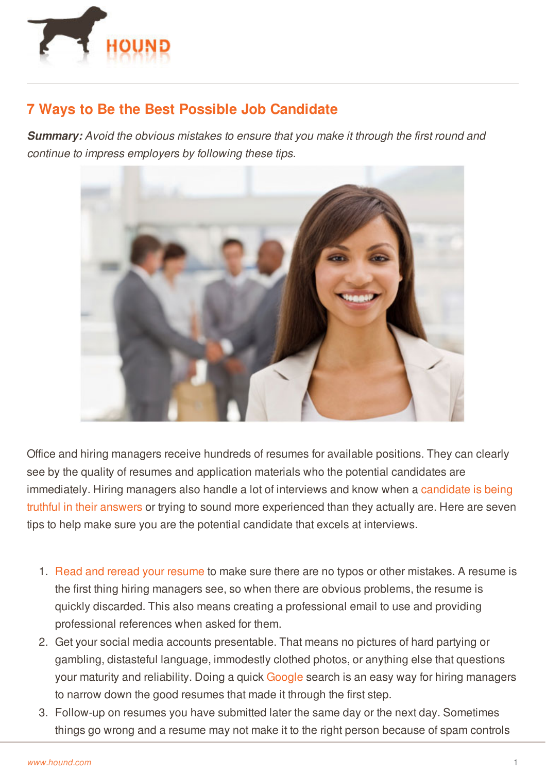

## **7 Ways to Be the Best Possible Job Candidate**

*Summary: Avoid the obvious mistakes to ensure that you make it through the first round and continue to impress employers by following these tips.*



Office and hiring managers receive hundreds of resumes for available positions. They can clearly see by the quality of resumes and application materials who the potential candidates are [immediately.](http://www.hound.com/article/900045909/Four-Common-Lies-People-Tell-in-Job-Interviews-and-Why-You-Should-Never-Lie-During-an-Interview/) Hiring managers also handle a lot of interviews and know when a candidate is being truthful in their answers or trying to sound more experienced than they actually are. Here are seven tips to help make sure you are the potential candidate that excels at interviews.

- 1. Read and reread your [resume](http://www.hound.com/article/900046134/Get-a-Thumbs-Up-on-Your-Resume/) to make sure there are no typos or other mistakes. A resume is the first thing hiring managers see, so when there are obvious problems, the resume is quickly discarded. This also means creating a professional email to use and providing professional references when asked for them.
- 2. Get your social media accounts presentable. That means no pictures of hard partying or [gamblin](http://www.hound.com/)g, distasteful language, immodestly clothed photos, or anything else that questions your maturity and reliability. Doing a quick [Google](http://www.gig.com/company/18/Google,-Inc.) search is an easy way for hiring managers to narrow down the good resumes that made it through the first step.
- 3. Follow-up on resumes you have submitted later the same day or the next day. Sometimes things go wrong and a resume may not make it to the right person because of spam controls